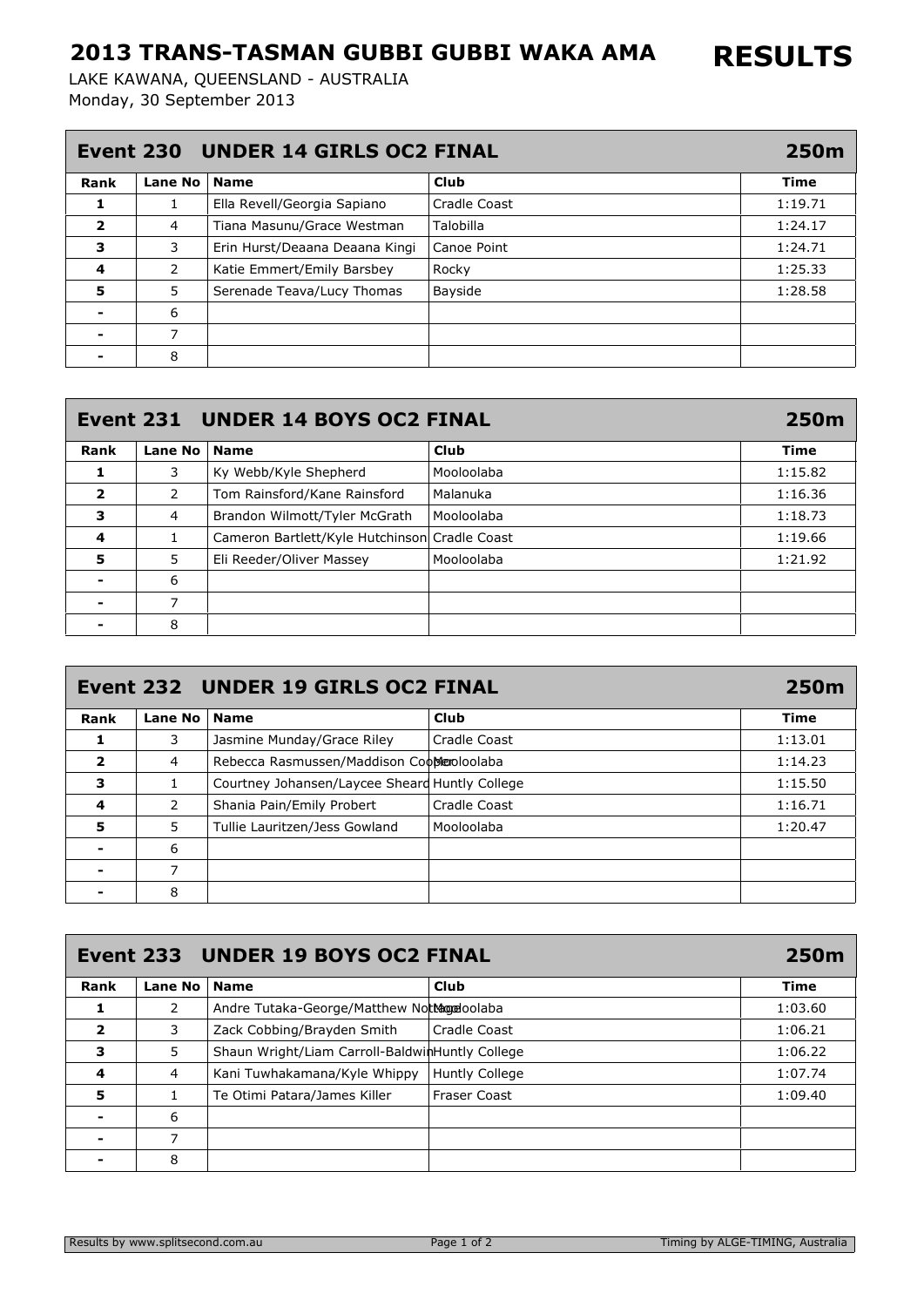## 2013 TRANS-TASMAN GUBBI GUBBI WAKA AMA

Monday, 30 September 2013 LAKE KAWANA, QUEENSLAND - AUSTRALIA

| Event 230 UNDER 14 GIRLS OC2 FINAL |         |                                |              |         |
|------------------------------------|---------|--------------------------------|--------------|---------|
| Rank                               | Lane No | <b>Name</b>                    | Club         | Time    |
|                                    | 1       | Ella Revell/Georgia Sapiano    | Cradle Coast | 1:19.71 |
| $\overline{\mathbf{2}}$            | 4       | Tiana Masunu/Grace Westman     | Talobilla    | 1:24.17 |
| з                                  | 3       | Erin Hurst/Deaana Deaana Kingi | Canoe Point  | 1:24.71 |
| 4                                  | 2       | Katie Emmert/Emily Barsbey     | Rocky        | 1:25.33 |
| 5                                  | 5       | Serenade Teava/Lucy Thomas     | Bayside      | 1:28.58 |
|                                    | 6       |                                |              |         |
|                                    | 7       |                                |              |         |
|                                    | 8       |                                |              |         |

| Event 231 UNDER 14 BOYS OC2 FINAL |                |                                               |             |         |
|-----------------------------------|----------------|-----------------------------------------------|-------------|---------|
| Rank                              | <b>Lane No</b> | <b>Name</b>                                   | <b>Club</b> | Time    |
| 1                                 | 3              | Ky Webb/Kyle Shepherd                         | Mooloolaba  | 1:15.82 |
| $\overline{\mathbf{2}}$           | 2              | Tom Rainsford/Kane Rainsford                  | Malanuka    | 1:16.36 |
| 3                                 | 4              | Brandon Wilmott/Tyler McGrath                 | Mooloolaba  | 1:18.73 |
| 4                                 | 1              | Cameron Bartlett/Kyle Hutchinson Cradle Coast |             | 1:19.66 |
| 5                                 | 5              | Eli Reeder/Oliver Massey                      | Mooloolaba  | 1:21.92 |
|                                   | 6              |                                               |             |         |
|                                   | 7              |                                               |             |         |
|                                   | 8              |                                               |             |         |

| Event 232 UNDER 19 GIRLS OC2 FINAL<br>250m |                |                                                |              |             |
|--------------------------------------------|----------------|------------------------------------------------|--------------|-------------|
| Rank                                       | <b>Lane No</b> | <b>Name</b>                                    | Club         | <b>Time</b> |
|                                            | 3.             | Jasmine Munday/Grace Riley                     | Cradle Coast | 1:13.01     |
| $\overline{\phantom{a}}$                   | 4              | Rebecca Rasmussen/Maddison Coomeoloolaba       |              | 1:14.23     |
| 3                                          |                | Courtney Johansen/Laycee Sheard Huntly College |              | 1:15.50     |
| 4                                          | 2              | Shania Pain/Emily Probert                      | Cradle Coast | 1:16.71     |
| 5                                          | 5.             | Tullie Lauritzen/Jess Gowland                  | Mooloolaba   | 1:20.47     |
|                                            | 6              |                                                |              |             |
|                                            | 7              |                                                |              |             |
|                                            | 8              |                                                |              |             |

| Event 233 UNDER 19 BOYS OC2 FINAL<br><b>250m</b> |                |                                                 |                       |             |
|--------------------------------------------------|----------------|-------------------------------------------------|-----------------------|-------------|
| Rank                                             | <b>Lane No</b> | <b>Name</b>                                     | Club                  | <b>Time</b> |
|                                                  | 2              | Andre Tutaka-George/Matthew Notthogeloolaba     |                       | 1:03.60     |
| 2                                                | 3              | Zack Cobbing/Brayden Smith                      | Cradle Coast          | 1:06.21     |
| 3                                                | 5              | Shaun Wright/Liam Carroll-BaldwinHuntly College |                       | 1:06.22     |
| 4                                                | 4              | Kani Tuwhakamana/Kyle Whippy                    | <b>Huntly College</b> | 1:07.74     |
| 5                                                |                | Te Otimi Patara/James Killer                    | <b>Fraser Coast</b>   | 1:09.40     |
|                                                  | 6              |                                                 |                       |             |
|                                                  | 7              |                                                 |                       |             |
|                                                  | 8              |                                                 |                       |             |

RESULTS